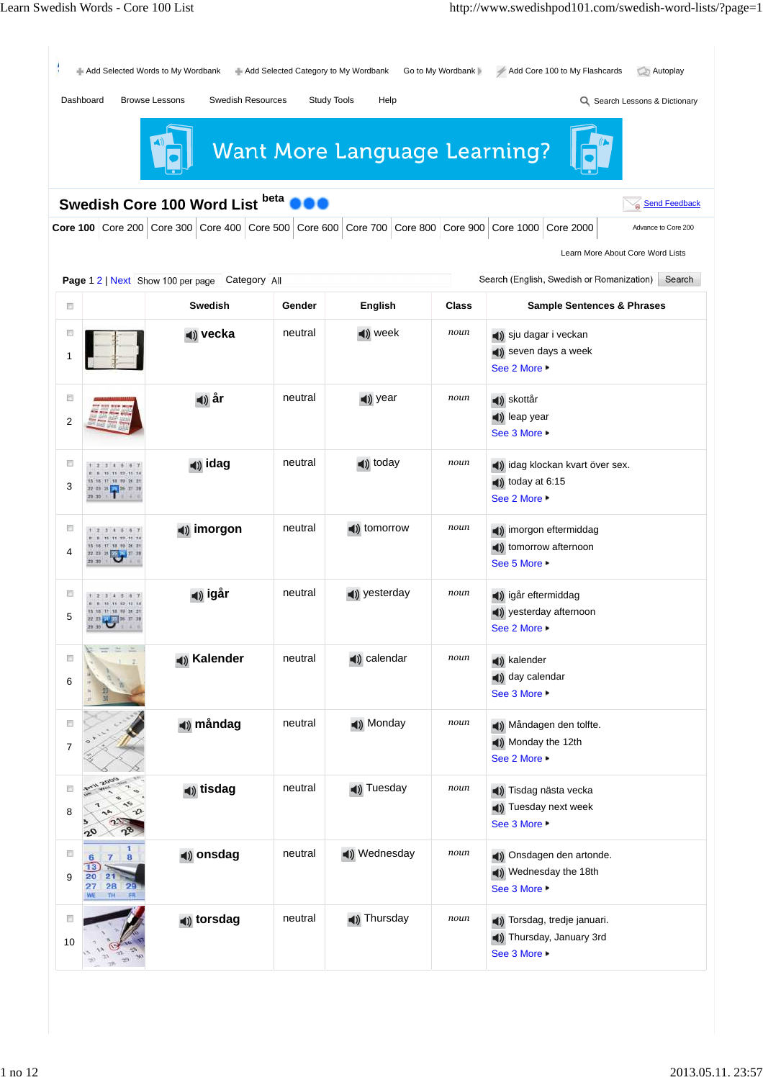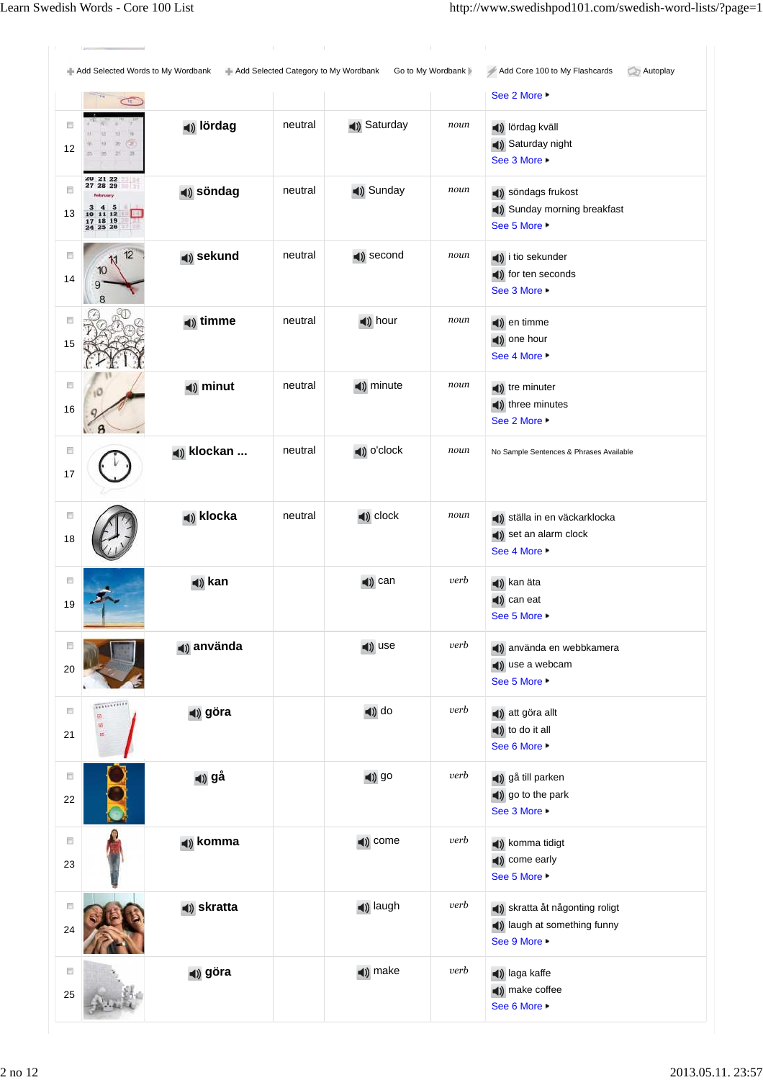**fredag** neutral Friday *noun* Fredagen den åttonde december. Add Selected Words to My Wordbank Add Selected Category to My Wordbank Go to My Wordbank Add Core 100 to My Flashcards Autoplay Add Core 100 to My Flashcards See 2 More ▶  $\overline{C}$  $\Box$ **lördag** neutral Saturday *noun* lördag kväll Saturday night 12 See 3 More  $20$   $21$   $22$ <br> $27$   $28$   $29$  $\Box$ **söndag** neutral **s** Sunday *noun* **s** Sundags frukost Sunday morning breakfast  $11$ <br> $18$  $\frac{10}{17}$ 13  $\overline{\phantom{1}}$ See 5 More ▶  $\Box$  $12$ **sekund** neutral **second** *noun* **a**) i tio sekunder  $10$ (a) for ten seconds 14 9 See 3 More ▶  $\Box$ **timme** neutral **time n n timme** (a) one hour 15 See 4 More ▶  $\overline{\Box}$ **(1) minut** neutral **(1) minute** *noun* **(1)** tre minuter  $\triangleleft$ ) three minutes 16 See 2 More ▶  $\overline{\Box}$ **klockan ...** neutral (a) o'clock *noun* No Sample Sentences & Phrases Available 17  $\overline{\mathbb{Z}}$ (**klocka** neutral (**)** clock  $\frac{1}{2}$  noun (**)** ställa in en väckarklocka set an alarm clock 18 See 4 More ▶  $\overline{\phantom{a}}$ **kan kan kan kan kan kan kan k** (a) can eat 19 See 5 More ▶  $\overline{\Box}$ **använda use verb använda** use **verb a**nvända en webbkamera use a webcam 20 See 5 More ▶ **TELEVISION**  $\overline{\mathbb{R}^n}$ **göra do** *verb* **d**) do *verb* **d**) att göra allt (a) to do it all 21 See 6 More ▶  $\Box$ **gå** go *verb* gå till parken go to the park 22 See 3 More ▶  $\Box$ **komma come come** *verb* **a**) komma tidigt (a) come early 23 See 5 More ▶ **skratta laugh** *verb* **skratta i** skratta åt någonting roligt  $\overline{\mathbb{C}}$ **(1)** laugh at something funny 24 See 9 More  $\Box$ **göra** make *verb* laga kaffe (a) make coffee 25  $f(x)$ See 6 More ▶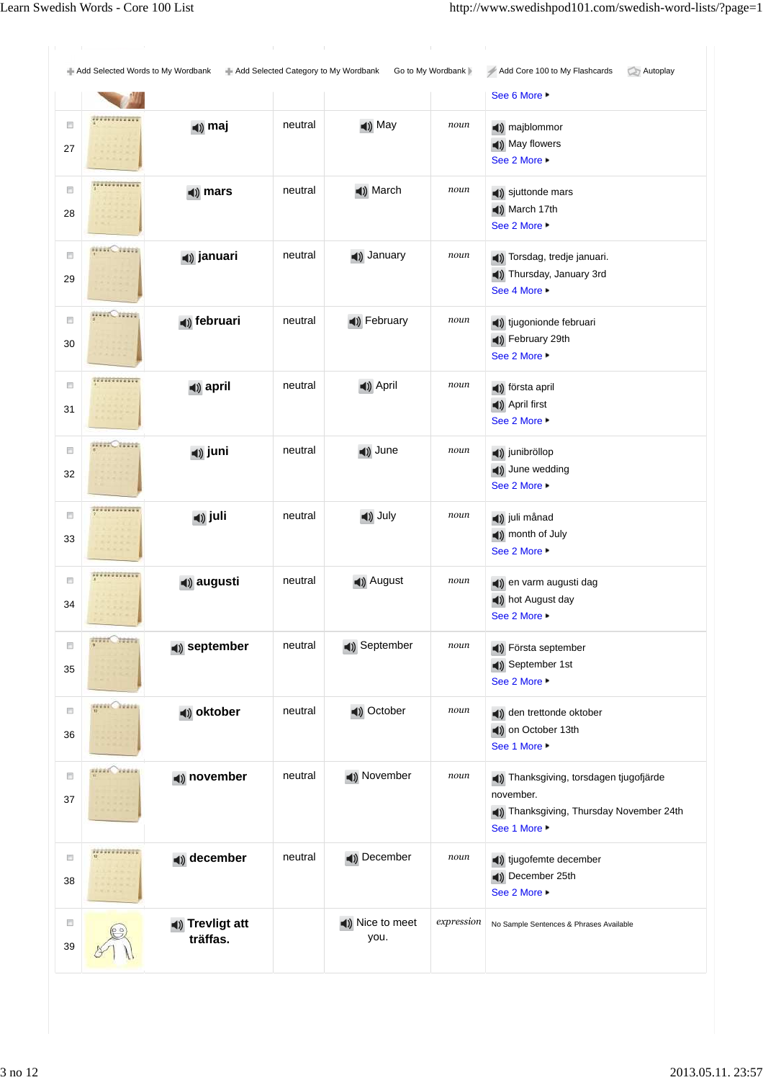Add Selected Words to My Wordbank **Add Selected Category to My Wordbank** Go to My Wordbank Add Core 100 to My Flashcards Autoplay Add Core 100 to My Flashcards See 6 More ▶ ............ **(1) maj neutral 1)** May **noun 1)** majblommor  $\Box$ May flowers 27 See 2 More ▶ .............  $\overline{\mathbb{C}}$ **n**) **mars neutral 1**) March **noun 1**) sjuttonde mars March 17th 28 See 2 More ▶ directions.  $\Box$ (**i)** januari neutral (**i)** January *noun* (**i)** Torsdag, tredje januari. Thursday, January 3rd 29 See 4 More ▶  $\frac{1}{2}$  $\Box$ (a) **februari neutral (b)** February *noun* (b) tjugonionde februari February 29th 30 See 2 More ▶ ............  $\Box$ **april** neutral **4**) April *noun* **4**) första april April first 31 See 2 More ▶ **HILL CARDS**  $\overline{\mathbb{R}^n}$ **juni** neutral **(1)** June *noun* (1) junibröllop (a) June wedding 32 See 2 More ▶ \*\*\*\*\*\*\*\*\*\*\*\*\*  $\Box$ **(1) juli neutral (1)** July **noun (1)** juli månad month of July 33 See 2 More ▶ .............  $\overline{\phantom{a}}$ **augusti** neutral **4**) August *noun* **4**) en varm augusti dag hot August day 34 See 2 More ▶  $\frac{1}{2}$  $\Box$ **september** neutral **september noun september** September 1st 35 See 2 More ▶  $\frac{1}{10}$  $\overline{\mathbb{R}^n}$ (a) **oktober neutral c**) October **noun q**) den trettonde oktober on October 13th 36 See 1 More ▶ ann Conn  $\Box$ (1) november neutral (1) November *noun* (1) Thanksgiving, torsdagen tjugofjärde november. 37 Thanksgiving, Thursday November 24th See 1 More ------------- $\overline{\mathbb{Z}}$ (a) december neutral (b) December *noun* (b) tjugofemte december December 25th 38 See 2 More ▶ **Trevligt att**  $\overline{\mathbb{R}^n}$ Nice to meet *expression* No Sample Sentences & Phrases Available you. **träffas.** 39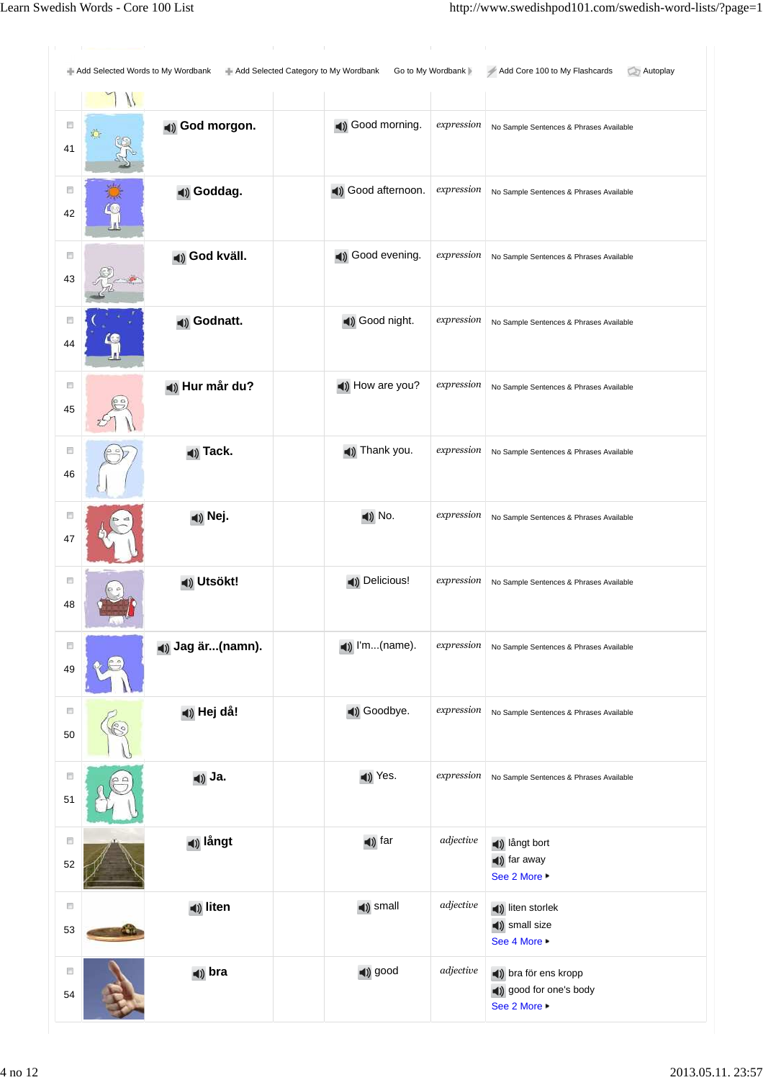**Continued in the Continued of the Continued in the Continued of the Continued in the Continued of the Continued in the Continued of the Continued of the Continued of the Continued Inc.** 

| <b>Continued by Continued State Continued by Continued State Continued by Continued State Continued by Continued State</b><br>Add Selected Category to My Wordbank<br>Go to My Wordbank<br>Add Core 100 to My Flashcards<br>Autoplay<br>Add Selected Words to My Wordbank |  |                            |                                                                                     |                    |                                                    |  |  |  |  |  |
|---------------------------------------------------------------------------------------------------------------------------------------------------------------------------------------------------------------------------------------------------------------------------|--|----------------------------|-------------------------------------------------------------------------------------|--------------------|----------------------------------------------------|--|--|--|--|--|
|                                                                                                                                                                                                                                                                           |  |                            |                                                                                     |                    |                                                    |  |  |  |  |  |
| F                                                                                                                                                                                                                                                                         |  | (a) God morgon.            | (1) Good morning.                                                                   | expression         | No Sample Sentences & Phrases Available            |  |  |  |  |  |
| 41                                                                                                                                                                                                                                                                        |  |                            |                                                                                     |                    |                                                    |  |  |  |  |  |
| $\Box$                                                                                                                                                                                                                                                                    |  | (a) Goddag.                | (a) Good afternoon.                                                                 | expression         | No Sample Sentences & Phrases Available            |  |  |  |  |  |
| 42                                                                                                                                                                                                                                                                        |  |                            |                                                                                     |                    |                                                    |  |  |  |  |  |
| $\Box$                                                                                                                                                                                                                                                                    |  | (a) God kväll.             | (a) Good evening.                                                                   | expression         | No Sample Sentences & Phrases Available            |  |  |  |  |  |
| 43                                                                                                                                                                                                                                                                        |  |                            |                                                                                     |                    |                                                    |  |  |  |  |  |
| F                                                                                                                                                                                                                                                                         |  | (a) Godnatt.               | (1) Good night.                                                                     | expression         | No Sample Sentences & Phrases Available            |  |  |  |  |  |
| 44                                                                                                                                                                                                                                                                        |  |                            |                                                                                     |                    |                                                    |  |  |  |  |  |
| E                                                                                                                                                                                                                                                                         |  |                            | (a) How are you?                                                                    | expression         |                                                    |  |  |  |  |  |
| 45                                                                                                                                                                                                                                                                        |  | (a) Hur mår du?            |                                                                                     |                    | No Sample Sentences & Phrases Available            |  |  |  |  |  |
|                                                                                                                                                                                                                                                                           |  |                            |                                                                                     |                    |                                                    |  |  |  |  |  |
| E                                                                                                                                                                                                                                                                         |  | (a) Tack.                  | (a) Thank you.                                                                      | expression         | No Sample Sentences & Phrases Available            |  |  |  |  |  |
| 46                                                                                                                                                                                                                                                                        |  |                            |                                                                                     |                    |                                                    |  |  |  |  |  |
| $\Box$                                                                                                                                                                                                                                                                    |  | (a) Nej.                   | $\blacktriangleleft$ ) No.                                                          | expression         | No Sample Sentences & Phrases Available            |  |  |  |  |  |
| 47                                                                                                                                                                                                                                                                        |  |                            |                                                                                     |                    |                                                    |  |  |  |  |  |
| $\Box$                                                                                                                                                                                                                                                                    |  |                            |                                                                                     | expression         |                                                    |  |  |  |  |  |
| 48                                                                                                                                                                                                                                                                        |  | (a) Utsökt!                | (a) Delicious!                                                                      |                    | No Sample Sentences & Phrases Available            |  |  |  |  |  |
|                                                                                                                                                                                                                                                                           |  |                            |                                                                                     |                    |                                                    |  |  |  |  |  |
| E                                                                                                                                                                                                                                                                         |  | (a) Jag är(namn).          | $\blacktriangleleft$ ) $\blacktriangleright$ $\blacktriangleright$ $\ldots$ (name). | expression         | No Sample Sentences & Phrases Available            |  |  |  |  |  |
| 49                                                                                                                                                                                                                                                                        |  |                            |                                                                                     |                    |                                                    |  |  |  |  |  |
| $\Box$                                                                                                                                                                                                                                                                    |  | (a) Hej då!                | (a) Goodbye.                                                                        | expression         | No Sample Sentences & Phrases Available            |  |  |  |  |  |
| 50                                                                                                                                                                                                                                                                        |  |                            |                                                                                     |                    |                                                    |  |  |  |  |  |
| Π                                                                                                                                                                                                                                                                         |  |                            | (a) Yes.                                                                            | expression         |                                                    |  |  |  |  |  |
| 51                                                                                                                                                                                                                                                                        |  | (a) Ja.                    |                                                                                     |                    | No Sample Sentences & Phrases Available            |  |  |  |  |  |
|                                                                                                                                                                                                                                                                           |  |                            |                                                                                     |                    |                                                    |  |  |  |  |  |
| $\Box$                                                                                                                                                                                                                                                                    |  | ◀) långt                   | $\blacktriangleleft$ ) far                                                          | $\emph{adjective}$ | (a) långt bort                                     |  |  |  |  |  |
| 52                                                                                                                                                                                                                                                                        |  |                            |                                                                                     |                    | (a) far away<br>See 2 More                         |  |  |  |  |  |
| E                                                                                                                                                                                                                                                                         |  | (a) liten                  | $\blacktriangleleft$ ) small                                                        | $\emph{adjective}$ | (a) liten storlek                                  |  |  |  |  |  |
| 53                                                                                                                                                                                                                                                                        |  |                            |                                                                                     |                    | (a) small size<br>See 4 More $\blacktriangleright$ |  |  |  |  |  |
| E                                                                                                                                                                                                                                                                         |  |                            | (a) good                                                                            | $\emph{adjective}$ |                                                    |  |  |  |  |  |
| 54                                                                                                                                                                                                                                                                        |  | $\blacktriangleleft$ ) bra |                                                                                     |                    | (a) bra för ens kropp<br>(1) good for one's body   |  |  |  |  |  |
|                                                                                                                                                                                                                                                                           |  |                            |                                                                                     |                    | See 2 More                                         |  |  |  |  |  |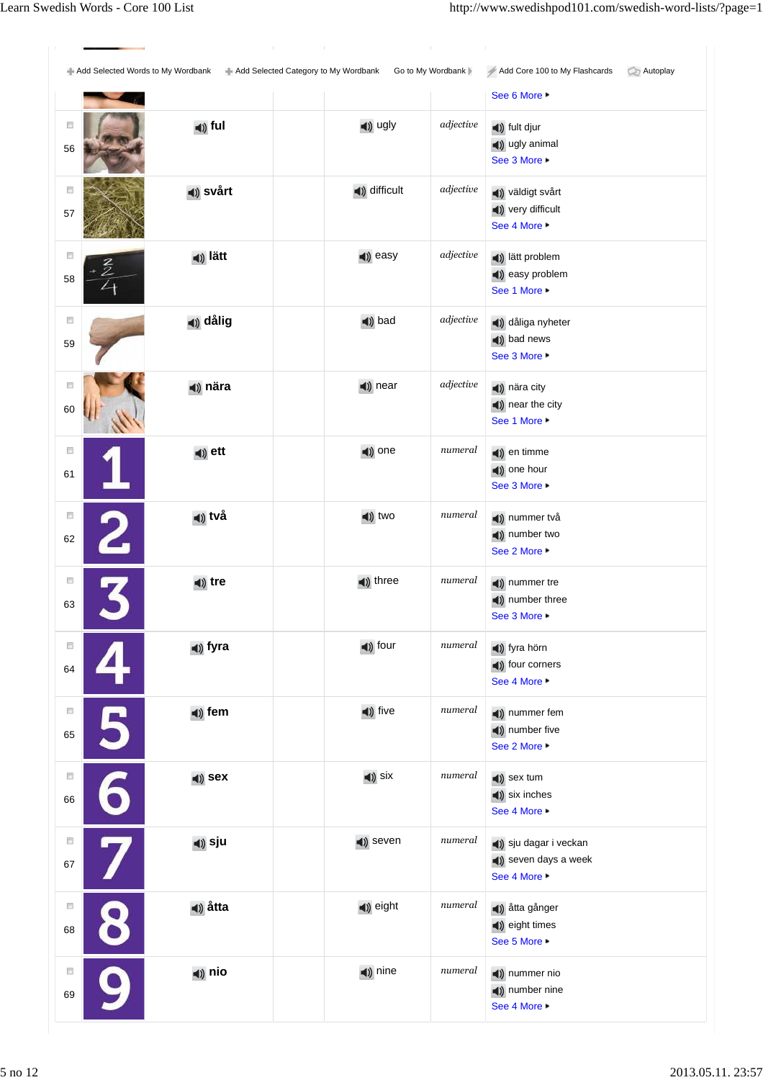Add Selected Words to My Wordbank **Add Selected Category to My Wordbank** Go to My Wordbank Add Core 100 to My Flashcards Autoplay  $\neq$  Add Core 100 to My Flashcards See 6 More ▶ **ful adjective a**) ugly *adjective* **a**) fult djur  $\Box$ ugly animal 56 See 3 More  $\Box$ (a) svårt **difficult** adjective **difficult** adjective **difficult** very difficult 57 See 4 More ▶  $\Box$ **lätt adjective lätt lätt lätt lätt lättn** (a) easy problem 58 See 1 More ▶  $\Box$ **dålig** bad *adjective* dåliga nyheter (a) bad news 59 See 3 More  $\overline{\Box}$ **nära nära nära nära nära 1999** nära city near the city 60 See 1 More ▶  $\overline{\phantom{a}}$ **ett example 1 etch example 1 example 1 example 1 example 1 example 1 example 1 example 1 example 1 example 1 example 1 example 1 example 1 example 1 example 1 example 1 example 1 exam** (a) one hour 61 See 3 More ►  $\Box$ **två två två i tva två två i två i i numeral i i nummer** två number two 62 See 2 More ▶  $\Box$ **tre the three numeral the three numeral the the the the the the the the the the the the the the the the the the the the the the the the the the the the** (a) number three 63 See 3 More ▶  $\Box$ **fyra** four *numeral* fyra hörn (a) four corners 64 See 4 More ▶  $\Box$ **(a)** fem **fixe f fixe** *numeral* **(b)** nummer fem (a) number five 65 See 2 More  $\Box$ **sex** six *numeral* sex tum six inches 66 See 4 More ▶  $\overline{\phantom{a}}$ **sju** sigu seven *numeral* sigu dagar i veckan (a) seven days a week 67 See 4 More ▶  $\Box$ **åtta** eight *numeral* åtta gånger eight times 68 See 5 More **nio nio numeral 1**) nine *numeral* **1**) nummer nio  $\Box$ number nine 69 See 4 More ▶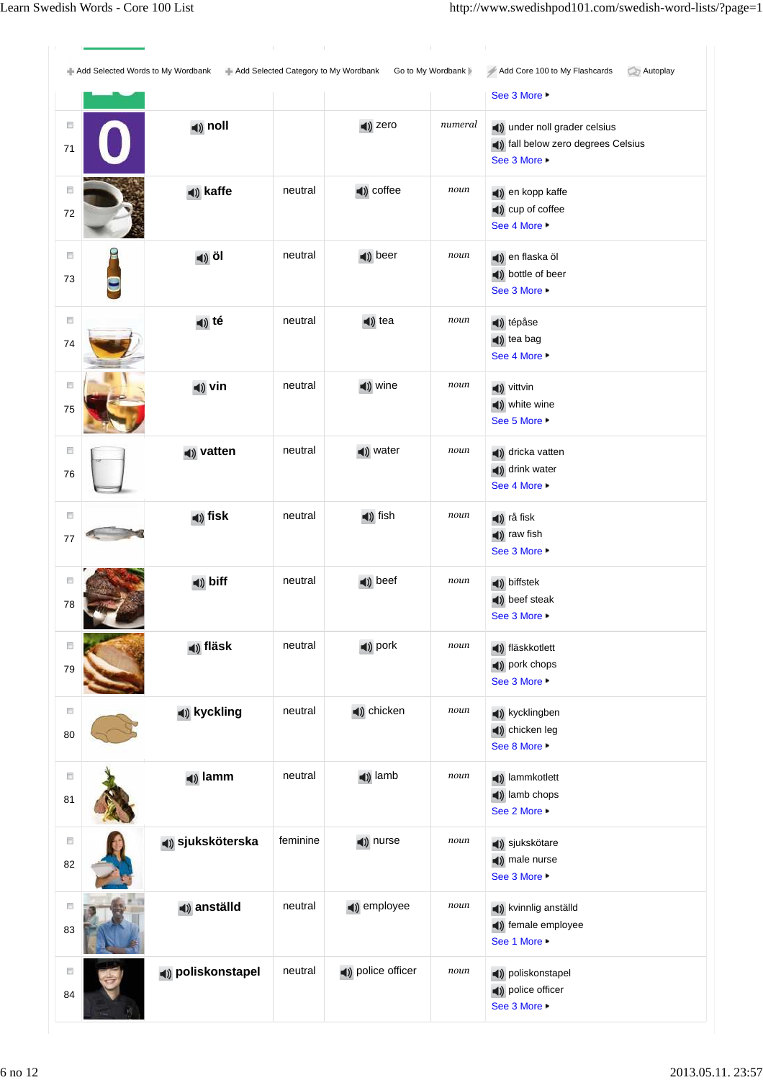Add Selected Words to My Wordbank **Add Selected Category to My Wordbank** Go to My Wordbank Add Core 100 to My Flashcards Autoplay Add Core 100 to My Flashcards See 3 More ▶ (a) **noll a**  $\rightarrow$  **1**  $\rightarrow$  **1**  $\rightarrow$  **numeral 1** $\rightarrow$  **1** $\rightarrow$  **1** $\rightarrow$  **1** $\rightarrow$  **1** $\rightarrow$  **1** $\rightarrow$  **1** $\rightarrow$  **1** $\rightarrow$  **1** $\rightarrow$  **1** $\rightarrow$  **1** $\rightarrow$  **1** $\rightarrow$  **1** $\rightarrow$  **1** $\rightarrow$  **1** $\rightarrow$  **1** $\rightarrow$  **1** $\rightarrow$  **1** $\rightarrow$  **1** $\rightarrow$  **1** $\rightarrow$  **1** $\rightarrow$  **1** $\rightarrow$  $\Box$ fall below zero degrees Celsius 71 See 3 More  $\overline{\mathbb{C}}$ **kaffe** neutral **coffee** *noun* **example en** kopp kaffe (a) cup of coffee 72 See 4 More ▶  $\Box$ **i**) **öl** neutral **i**) beer *noun* **i**) en flaska öl bottle of beer 73 See 3 More ▶  $\Box$ **té** neutral **d**) tea *noun* **d**) tépåse tea bag 74 See 4 More ▶  $\overline{\Box}$ **vin neutral vine** *noun* **v**ittvin white wine 75 See 5 More ▶  $\overline{\Box}$ **vatten** neutral **vater** *noun* **d**) dricka vatten (a) drink water 76 See 4 More ►  $\overline{\mathbb{R}^n}$ **(a)** fisk **neutral (b)** fish *noun* **(c)** rå fisk raw fish 77 See 3 More ▶  $\overline{\phantom{a}}$ **a**) **biff heutral a**) **beef noun a**) biffstek beef steak 78 See 3 More ▶  $\Box$ **fläsk** neutral pork *noun* fläskkotlett pork chops 79 See 3 More ▶  $\Box$ **kyckling** neutral chicken *noun* kycklingben (a) chicken leg 80 See 8 More  $\Box$ **lamm** neutral **lamb** *noun* **lammkotlett** lamb chops 81 See 2 More ▶  $\overline{\phantom{a}}$ **sjuksköterska** feminine **a**) nurse *noun* () sjukskötare (a) male nurse 82 See 3 More ▶  $\Box$ **anställd** neutral employee *noun* kvinnlig anställd (a) female employee 83 See 1 More ▶  $\Box$ **(1)** poliskonstapel neutral **(1)** police officer *noun* (1) poliskonstapel police officer 84 See 3 More ▶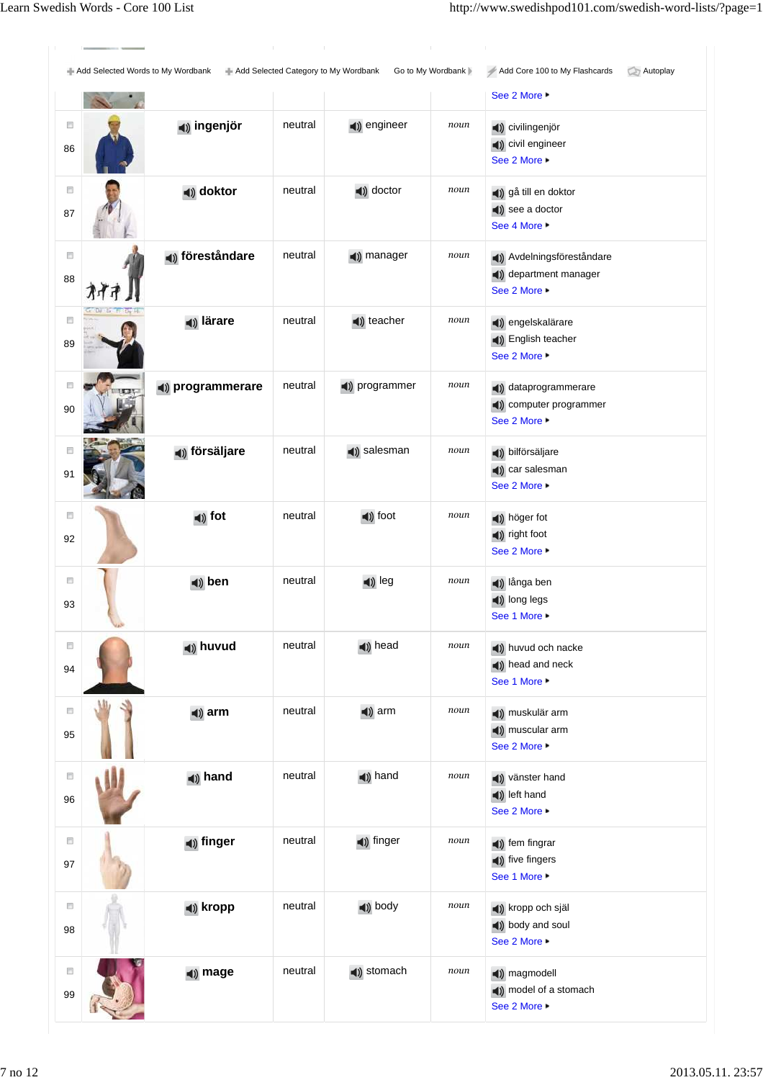Add Selected Words to My Wordbank Add Selected Category to My Wordbank Go to My Wordbank Add Core 100 to My Flashcards Autoplay Add Core 100 to My Flashcards See 2 More ▶  $\Box$ (a) **ingenjör** neutral (b) engineer *noun* (b) civilingenjör civil engineer 86 See 2 More ▶  $\overline{\mathbb{C}}$ **doktor** neutral **doctor** *noun* **d**) gå till en doktor see a doctor 87 See 4 More ▶  $\Box$ **(1) föreståndare** neutral (1) manager *noun* (1) Avdelningsföreståndare (a) department manager 88 办 See 2 More ▶  $\Box$ (a) lärare neutral (b) teacher *noun* (b) engelskalärare English teacher 89 See 2 More  $\Box$ **(a) programmerare** neutral **(b)** programmer *noun* (b) dataprogrammerare computer programmer 90 See 2 More ▶  $\overline{\phantom{a}}$ **försäljare** neutral **(**) salesman *noun* () bilförsäljare (a) car salesman 91 See 2 More ▶  $\overline{\mathbb{R}^n}$ **fot heutral foot** *noun* **i**) höger fot right foot 92 See 2 More ▶  $\overline{\phantom{a}}$ **d**) **ben** neutral **d**) leg *noun* **d**) långa ben **(a)** long legs 93 See 1 More ▶  $\overline{\Box}$ **(1) huvud** neutral **(1) head** *noun* **(1) huvud och nacke** (a) head and neck 94 See 1 More ▶  $\overline{\mathbb{R}}$ **arm** neutral **a**) arm *noun* **a**) muskulär arm muscular arm 95 See 2 More ▶  $\Box$ **hand** neutral **i**) hand  $\frac{1}{2}$  noun**ing** vänster hand left hand 96 See 2 More ▶  $\Box$ **(1)** finger **heutral finger noun (1)** fem fingrar (a) five fingers 97 See 1 More ▶  $\Box$ **kropp** neutral body *noun* kropp och själ body and soul 98 See 2 More  $\Box$ (a) mage neutral (b) stomach  $noun$  (b) magmodell model of a stomach 99 See 2 More ▶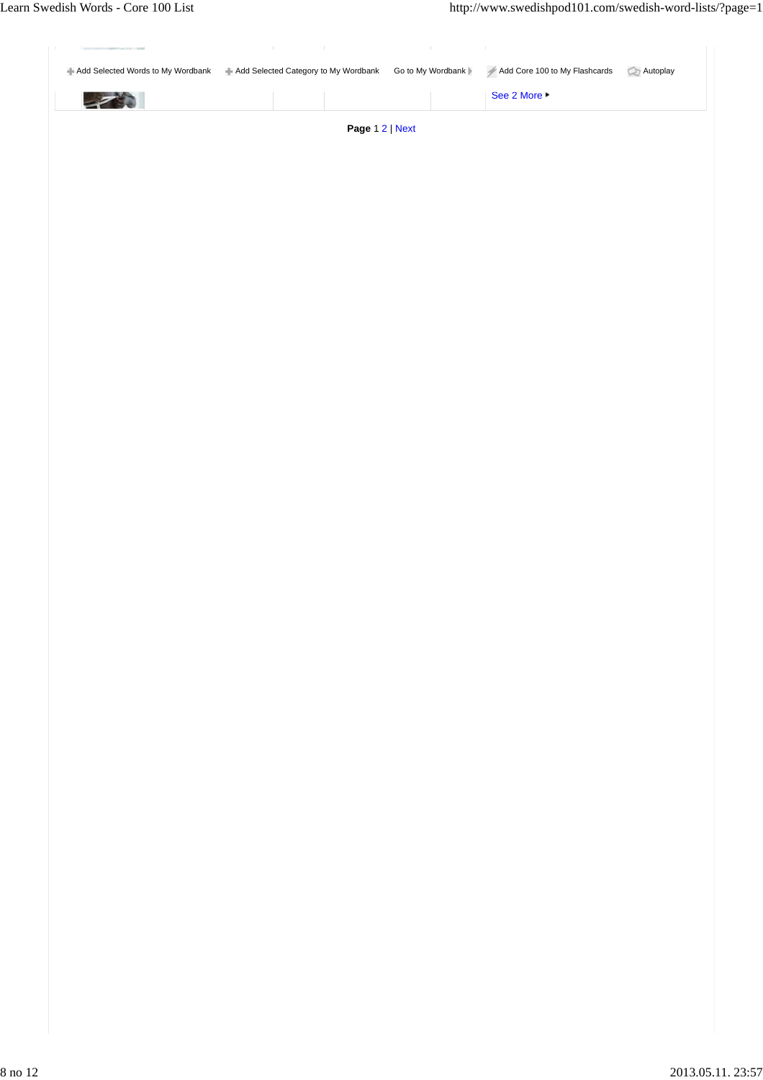| ਵ | - Add Selected Words to My Wordbank - Add Selected Category to My Wordbank Go to My Wordbank | Add Core 100 to My Flashcards<br>See 2 More $\blacktriangleright$ | Autoplay |
|---|----------------------------------------------------------------------------------------------|-------------------------------------------------------------------|----------|
|   | Page 12   Next                                                                               |                                                                   |          |
|   |                                                                                              |                                                                   |          |
|   |                                                                                              |                                                                   |          |
|   |                                                                                              |                                                                   |          |
|   |                                                                                              |                                                                   |          |
|   |                                                                                              |                                                                   |          |
|   |                                                                                              |                                                                   |          |
|   |                                                                                              |                                                                   |          |
|   |                                                                                              |                                                                   |          |
|   |                                                                                              |                                                                   |          |
|   |                                                                                              |                                                                   |          |
|   |                                                                                              |                                                                   |          |
|   |                                                                                              |                                                                   |          |
|   |                                                                                              |                                                                   |          |
|   |                                                                                              |                                                                   |          |
|   |                                                                                              |                                                                   |          |
|   |                                                                                              |                                                                   |          |
|   |                                                                                              |                                                                   |          |
|   |                                                                                              |                                                                   |          |
|   |                                                                                              |                                                                   |          |
|   |                                                                                              |                                                                   |          |
|   |                                                                                              |                                                                   |          |
|   |                                                                                              |                                                                   |          |
|   |                                                                                              |                                                                   |          |
|   |                                                                                              |                                                                   |          |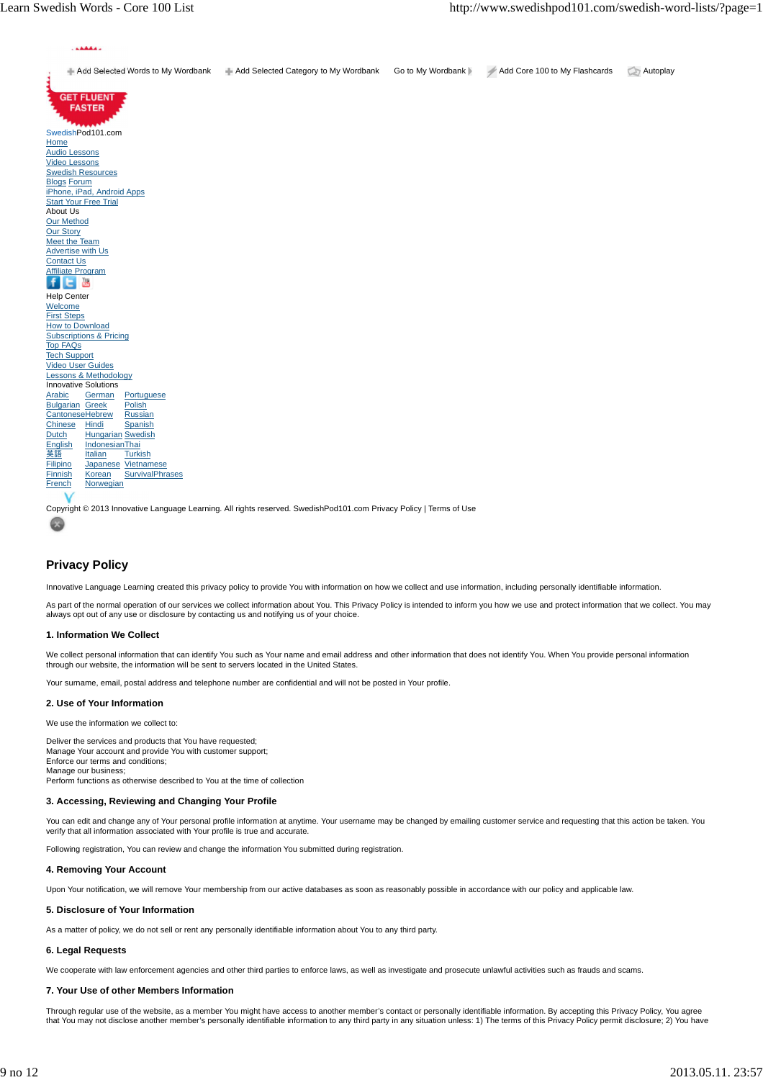

# **Privacy Policy**

Innovative Language Learning created this privacy policy to provide You with information on how we collect and use information, including personally identifiable information.

As part of the normal operation of our services we collect information about You. This Privacy Policy is intended to inform you how we use and protect information that we collect. You may always opt out of any use or disclosure by contacting us and notifying us of your choice.

### **1. Information We Collect**

We collect personal information that can identify You such as Your name and email address and other information that does not identify You. When You provide personal information through our website, the information will be sent to servers located in the United States.

Your surname, email, postal address and telephone number are confidential and will not be posted in Your profile.

## **2. Use of Your Information**

We use the information we collect to

Deliver the services and products that You have requested; Manage Your account and provide You with customer support; Enforce our terms and conditions; Manage our business; Perform functions as otherwise described to You at the time of collection

### **3. Accessing, Reviewing and Changing Your Profile**

You can edit and change any of Your personal profile information at anytime. Your username may be changed by emailing customer service and requesting that this action be taken. You verify that all information associated with Your profile is true and accurate.

Following registration, You can review and change the information You submitted during registration.

### **4. Removing Your Account**

Upon Your notification, we will remove Your membership from our active databases as soon as reasonably possible in accordance with our policy and applicable law.

### **5. Disclosure of Your Information**

As a matter of policy, we do not sell or rent any personally identifiable information about You to any third party.

## **6. Legal Requests**

We cooperate with law enforcement agencies and other third parties to enforce laws, as well as investigate and prosecute unlawful activities such as frauds and scams.

### **7. Your Use of other Members Information**

Through regular use of the website, as a member You might have access to another member's contact or personally identifiable information. By accepting this Privacy Policy, You agree that You may not disclose another member's personally identifiable information to any third party in any situation unless: 1) The terms of this Privacy Policy permit disclosure; 2) You have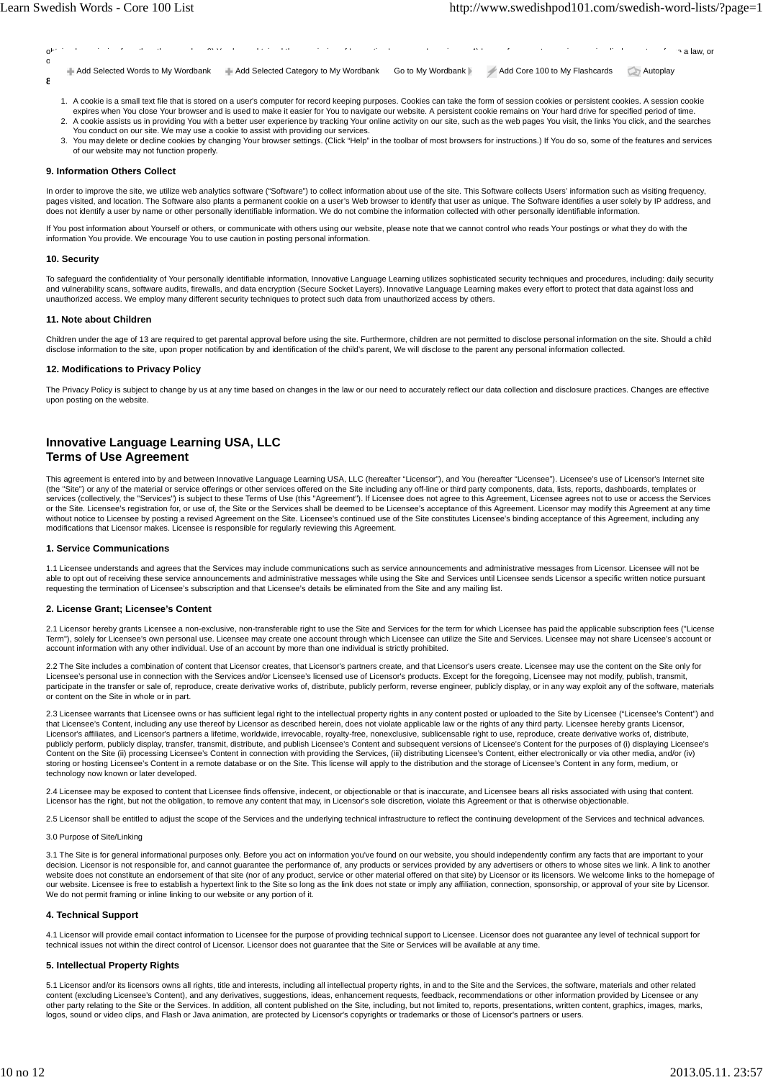obtained permission from the other member; 3) You have obtained the permission of Innovative Language Learning; or 4) Law enforcement agencies require disclosure to enforce a law, or otherwise require disclosure to investigate or prosecute unlawful activities such as frauds and scams. **8. Cookies** Add Selected Words to My Wordbank Add Selected Category to My Wordbank Go to My Wordbank Add Core 100 to My Flashcards Autoplay

- 1. A cookie is a small text file that is stored on a user's computer for record keeping purposes. Cookies can take the form of session cookies or persistent cookies. A session cookie expires when You close Your browser and is used to make it easier for You to navigate our website. A persistent cookie remains on Your hard drive for specified period of time.
- 2. A cookie assists us in providing You with a better user experience by tracking Your online activity on our site, such as the web pages You visit, the links You click, and the searches You conduct on our site. We may use a cookie to assist with providing our services.
- You may delete or decline cookies by changing Your browser settings. (Click "Help" in the toolbar of most browsers for instructions.) If You do so, some of the features and services of our website may not function properly. 3.

#### **9. Information Others Collect**

In order to improve the site, we utilize web analytics software "Software") to collect information about use of the site. This Software collects Users' information such as visiting frequency, pages visited, and location. The Software also plants a permanent cookie on a user's Web browser to identify that user as unique. The Software identifies a user solely by IP address, and does not identify a user by name or other personally identifiable information. We do not combine the information collected with other personally identifiable information.

If You post information about Yourself or others, or communicate with others using our website, please note that we cannot control who reads Your postings or what they do with the information You provide. We encourage You to use caution in posting personal information.

#### **10. Security**

To safeguard the confidentiality of Your personally identifiable information, Innovative Language Learning utilizes sophisticated security techniques and procedures, including: daily security and vulnerability scans, software audits, firewalls, and data encryption (Secure Socket Layers). Innovative Language Learning makes every effort to protect that data against loss and unauthorized access. We employ many different security techniques to protect such data from unauthorized access by others.

#### **11. Note about Children**

Children under the age of 13 are required to get parental approval before using the site. Furthermore, children are not permitted to disclose personal information on the site. Should a child<br>disclose information to the sit

#### **12. Modifications to Privacy Policy**

The Privacy Policy is subject to change by us at any time based on changes in the law or our need to accurately reflect our data collection and disclosure practices. Changes are effective upon posting on the website.

## **Innovative Language Learning USA, LLC Terms of Use Agreement**

This agreement is entered into by and between Innovative Language Learning USA, LLC (hereafter "Licensor"), and You (hereafter "Licensee"). Licensee's use of Licensor's Internet site (the "Site") or any of the material or service offerings or other services offered on the Site including any off-line or third party components, data, lists, reports, dashboards, templates or services (collectively, the "Services") is subject to these Terms of Use (this "Agreement"). If Licensee does not agree to this Agreement, Licensee agrees not to use or access the Services<br>or the Site. Licensee's registrat without notice to Licensee by posting a revised Agreement on the Site. Licensee's continued use of the Site constitutes Licensee's binding acceptance of this Agreement, including any modifications that Licensor makes. Licensee is responsible for regularly reviewing this Agreement.

#### **1. Service Communications**

1.1 Licensee understands and agrees that the Services may include communications such as service announcements and administrative messages from Licensor. Licensee will not be able to opt out of receiving these service announcements and administrative messages while using the Site and Services until Licensee sends Licensor a specific written notice pursuant requesting the termination of Licensee's subscription and that Licensee's details be eliminated from the Site and any mailing list.

#### **2. License Grant; Licensee's Content**

2.1 Licensor hereby grants Licensee a non-exclusive, non-transferable right to use the Site and Services for the term for which Licensee has paid the applicable subscription fees ("License Term"), solely for Licensee's own personal use. Licensee may create one account through which Licensee can utilize the Site and Services. Licensee may not share Licensee's account or<br>account information with any other indi

2.2 The Site includes a combination of content that Licensor creates, that Licensor's partners create, and that Licensor's users create. Licensee may use the content on the Site only for Licensee's personal use in connection with the Services and/or Licensee's licensed use of Licensor's products. Except for the foregoing, Licensee may not modify, publish, transmit, participate in the transfer or sale of, reproduce, create derivative works of, distribute, publicly perform, reverse engineer, publicly display, or in any way exploit any of the software, materials or content on the Site in whole or in part.

2.3 Licensee warrants that Licensee owns or has sufficient legal right to the intellectual property rights in any content posted or uploaded to the Site by Licensee ("Licensee's Content") and<br>that Licensee's Content, inclu Licensor's affiliates, and Licensor's partners a lifetime, worldwide, irrevocable, royalty-free, nonexclusive, sublicensable right to use, reproduce, create derivative works of, distribute, publicly perform, publicly display, transfer, transmit, distribute, and publish Licensee's Content and subsequent versions of Licensee's Content for the purposes of (i) displaying Licensee's<br>Content on the Site (ii) proces technology now known or later developed.

2.4 Licensee may be exposed to content that Licensee finds offensive, indecent, or objectionable or that is inaccurate, and Licensee bears all risks associated with using that content. Licensor has the right, but not the obligation, to remove any content that may, in Licensor's sole discretion, violate this Agreement or that is otherwise objectionable.

2.5 Licensor shall be entitled to adjust the scope of the Services and the underlying technical infrastructure to reflect the continuing development of the Services and technical advances.

#### 3.0 Purpose of Site/Linking

3.1 The Site is for general informational purposes only. Before you act on information you've found on our website, you should independently confirm any facts that are important to your decision. Licensor is not responsible for, and cannot guarantee the performance of, any products or services provided by any advertisers or others to whose sites we link. A link to another<br>website does not constitute an en our website. Licensee is free to establish a hypertext link to the Site so long as the link does not state or imply any affiliation, connection, sponsorship, or approval of your site by Licensor. We do not permit framing or inline linking to our website or any portion of it.

#### **4. Technical Support**

4.1 Licensor will provide email contact information to Licensee for the purpose of providing technical support to Licensee. Licensor does not guarantee any level of technical support for technical issues not within the direct control of Licensor. Licensor does not guarantee that the Site or Services will be available at any time.

#### **5. Intellectual Property Rights**

5.1 Licensor and/or its licensors owns all rights, title and interests, including all intellectual property rights, in and to the Site and the Services, the software, materials and other related content (excluding Licensee's Content), and any derivatives, suggestions, ideas, enhancement requests, feedback, recommendations or other information provided by Licensee or any<br>other party relating to the Site or the Serv logos, sound or video clips, and Flash or Java animation, are protected by Licensor's copyrights or trademarks or those of Licensor's partners or users.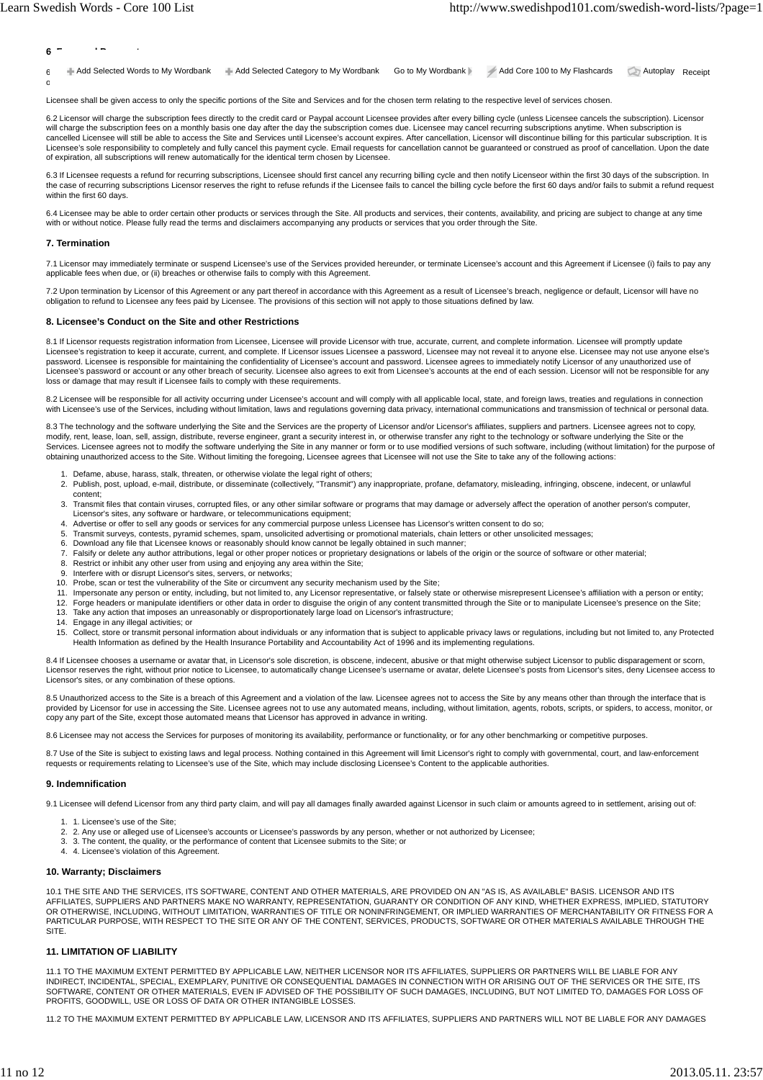$6 - \cdot$ 6 Add Selected Words to My Wordbank Add Selected Category to My Wordbank Go to My Wordbank Add Core 100 to My Flashcards Autoplay Receipt

Licensee shall be given access to only the specific portions of the Site and Services and for the chosen term relating to the respective level of services chosen.

of payment in full per the plan chosen shall be a condition precedent to Licensor providing access to the Site and Services and any license grant herein.

6.2 Licensor will charge the subscription fees directly to the credit card or Paypal account Licensee provides after every billing cycle (unless Licensee cancels the subscription). Licensor will charge the subscription fees on a monthly basis one day after the day the subscription comes due. Licensee may cancel recurring subscriptions anytime. When subscription is<br>cancelled Licensee will still be able to acce Licensee's sole responsibility to completely and fully cancel this payment cycle. Email requests for cancellation cannot be guaranteed or construed as proof of cancellation. Upon the date of expiration, all subscriptions will renew automatically for the identical term chosen by Licensee.

6.3 If Licensee requests a refund for recurring subscriptions, Licensee should first cancel any recurring billing cycle and then notify Licenseor within the first 30 days of the subscription. In the case of recurring subscriptions Licensor reserves the right to refuse refunds if the Licensee fails to cancel the billing cycle before the first 60 days and/or fails to submit a refund request within the first 60 days.

6.4 Licensee may be able to order certain other products or services through the Site. All products and services, their contents, availability, and pricing are subject to change at any time with or without notice. Please fully read the terms and disclaimers accompanying any products or services that you order through the Site.

#### **7. Termination**

7.1 Licensor may immediately terminate or suspend Licensee's use of the Services provided hereunder, or terminate Licensee's account and this Agreement if Licensee (i) fails to pay any applicable fees when due, or (ii) breaches or otherwise fails to comply with this Agreement.

7.2 Upon termination by Licensor of this Agreement or any part thereof in accordance with this Agreement as a result of Licensee's breach, negligence or default, Licensor will have no obligation to refund to Licensee any fees paid by Licensee. The provisions of this section will not apply to those situations defined by law.

#### **8. Licensee's Conduct on the Site and other Restrictions**

8.1 If Licensor requests registration information from Licensee, Licensee will provide Licensor with true, accurate, current, and complete information. Licensee will promptly update Licensee's registration to keep it accurate, current, and complete. If Licensor issues Licensee a password, Licensee may not reveal it to anyone else. Licensee may not use anyone else's password. Licensee is responsible for maintaining the confidentiality of Licensee's account and password. Licensee agrees to immediately notify Licensor of any unauthorized use of<br>Licensee's password or account or any othe loss or damage that may result if Licensee fails to comply with these requirements.

8.2 Licensee will be responsible for all activity occurring under Licensee's account and will comply with all applicable local, state, and foreign laws, treaties and regulations in connection with Licensee's use of the Services, including without limitation, laws and regulations governing data privacy, international communications and transmission of technical or personal data.

8.3 The technology and the software underlying the Site and the Services are the property of Licensor and/or Licensor's affiliates, suppliers and partners. Licensee agrees not to copy, modify, rent, lease, loan, sell, assign, distribute, reverse engineer, grant a security interest in, or otherwise transfer any right to the technology or software underlying the Site or the Services. Licensee agrees not to modify the software underlying the Site in any manner or form or to use modified versions of such software, including (without limitation) for the purpose of obtaining unauthorized access to the Site. Without limiting the foregoing, Licensee agrees that Licensee will not use the Site to take any of the following actions:

- 1. Defame, abuse, harass, stalk, threaten, or otherwise violate the legal right of others;
- 2. Publish, post, upload, e-mail, distribute, or disseminate (collectively, "Transmit") any inappropriate, profane, defamatory, misleading, infringing, obscene, indecent, or unlawful content;
- Transmit files that contain viruses, corrupted files, or any other similar software or programs that may damage or adversely affect the operation of another person's computer, Licensor's sites, any software or hardware, or telecommunications equipment; 3.
- 4. Advertise or offer to sell any goods or services for any commercial purpose unless Licensee has Licensor's written consent to do so;
- 5. Transmit surveys, contests, pyramid schemes, spam, unsolicited advertising or promotional materials, chain letters or other unsolicited messages;<br>6. Download any file that Licensee knows or reasonably should know cann
- 
- 7. Falsify or delete any author attributions, legal or other proper notices or proprietary designations or labels of the origin or the source of software or other material;
- 8. Restrict or inhibit any other user from using and enjoying any area within the Site; 9. Interfere with or disrupt Licensor's sites, servers, or networks;
- 
- 10. Probe, scan or test the vulnerability of the Site or circumvent any security mechanism used by the Site;
- 11. Impersonate any person or entity, including, but not limited to, any Licensor representative, or falsely state or otherwise misrepresent Licensee's affiliation with a person or entity;
- 12. Forge headers or manipulate identifiers or other data in order to disguise the origin of any content transmitted through the Site or to manipulate Licensee's presence on the Site;<br>13. Take any action that imposes an un
- 14. Engage in any illegal activities; or
- Collect, store or transmit personal information about individuals or any information that is subject to applicable privacy laws or regulations, including but not limited to, any Protected Health Information as defined by the Health Insurance Portability and Accountability Act of 1996 and its implementing regulations. 15.

8.4 If Licensee chooses a username or avatar that, in Licensor's sole discretion, is obscene, indecent, abusive or that might otherwise subject Licensor to public disparagement or scorn, Licensor reserves the right, without prior notice to Licensee, to automatically change Licensee's username or avatar, delete Licensee's posts from Licensor's sites, deny Licensee access to Licensor's sites, or any combination of these options.

8.5 Unauthorized access to the Site is a breach of this Agreement and a violation of the law. Licensee agrees not to access the Site by any means other than through the interface that is provided by Licensor for use in accessing the Site. Licensee agrees not to use any automated means, including, without limitation, agents, robots, scripts, or spiders, to access, monitor, or copy any part of the Site, except those automated means that Licensor has approved in advance in writing.

8.6 Licensee may not access the Services for purposes of monitoring its availability, performance or functionality, or for any other benchmarking or competitive purposes.

8.7 Use of the Site is subject to existing laws and legal process. Nothing contained in this Agreement will limit Licensor's right to comply with governmental, court, and law-enforcement requests or requirements relating to Licensee's use of the Site, which may include disclosing Licensee's Content to the applicable authorities.

#### **9. Indemnification**

9.1 Licensee will defend Licensor from any third party claim, and will pay all damages finally awarded against Licensor in such claim or amounts agreed to in settlement, arising out of:

- 1. 1. Licensee's use of the Site;
- 2. 2. Any use or alleged use of Licensee's accounts or Licensee's passwords by any person, whether or not authorized by Licensee;
- 3. 3. The content, the quality, or the performance of content that Licensee submits to the Site; or
- 4. 4. Licensee's violation of this Agreement.

### **10. Warranty; Disclaimers**

10.1 THE SITE AND THE SERVICES, ITS SOFTWARE, CONTENT AND OTHER MATERIALS, ARE PROVIDED ON AN "AS IS, AS AVAILABLE" BASIS. LICENSOR AND ITS AFFILIATES, SUPPLIERS AND PARTNERS MAKE NO WARRANTY, REPRESENTATION, GUARANTY OR CONDITION OF ANY KIND, WHETHER EXPRESS, IMPLIED, STATUTORY<br>OR OTHERWISE, INCLUDING, WITHOUT LIMITATION, WARRANTIES OF TITLE OR NONINFRINGEMEN PARTICULAR PURPOSE, WITH RESPECT TO THE SITE OR ANY OF THE CONTENT, SERVICES, PRODUCTS, SOFTWARE OR OTHER MATERIALS AVAILABLE THROUGH THE SITE.

### **11. LIMITATION OF LIABILITY**

11.1 TO THE MAXIMUM EXTENT PERMITTED BY APPLICABLE LAW, NEITHER LICENSOR NOR ITS AFFILIATES, SUPPLIERS OR PARTNERS WILL BE LIABLE FOR ANY INDIRECT, INCIDENTAL, SPECIAL, EXEMPLARY, PUNITIVE OR CONSEQUENTIAL DAMAGES IN CONNECTION WITH OR ARISING OUT OF THE SERVICES OR THE SITE, ITS<br>SOFTWARE, CONTENT OR OTHER MATERIALS, EVEN IF ADVISED OF THE POSSIBILITY OF SUC PROFITS, GOODWILL, USE OR LOSS OF DATA OR OTHER INTANGIBLE LOSSES.

11.2 TO THE MAXIMUM EXTENT PERMITTED BY APPLICABLE LAW, LICENSOR AND ITS AFFILIATES, SUPPLIERS AND PARTNERS WILL NOT BE LIABLE FOR ANY DAMAGES